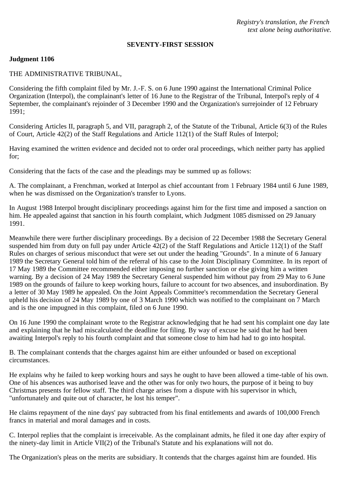*Registry's translation, the French text alone being authoritative.*

### **SEVENTY-FIRST SESSION**

### **Judgment 1106**

## THE ADMINISTRATIVE TRIBUNAL,

Considering the fifth complaint filed by Mr. J.-F. S. on 6 June 1990 against the International Criminal Police Organization (Interpol), the complainant's letter of 16 June to the Registrar of the Tribunal, Interpol's reply of 4 September, the complainant's rejoinder of 3 December 1990 and the Organization's surrejoinder of 12 February 1991;

Considering Articles II, paragraph 5, and VII, paragraph 2, of the Statute of the Tribunal, Article 6(3) of the Rules of Court, Article 42(2) of the Staff Regulations and Article 112(1) of the Staff Rules of Interpol;

Having examined the written evidence and decided not to order oral proceedings, which neither party has applied for;

Considering that the facts of the case and the pleadings may be summed up as follows:

A. The complainant, a Frenchman, worked at Interpol as chief accountant from 1 February 1984 until 6 June 1989, when he was dismissed on the Organization's transfer to Lyons.

In August 1988 Interpol brought disciplinary proceedings against him for the first time and imposed a sanction on him. He appealed against that sanction in his fourth complaint, which Judgment 1085 dismissed on 29 January 1991.

Meanwhile there were further disciplinary proceedings. By a decision of 22 December 1988 the Secretary General suspended him from duty on full pay under Article 42(2) of the Staff Regulations and Article 112(1) of the Staff Rules on charges of serious misconduct that were set out under the heading "Grounds". In a minute of 6 January 1989 the Secretary General told him of the referral of his case to the Joint Disciplinary Committee. In its report of 17 May 1989 the Committee recommended either imposing no further sanction or else giving him a written warning. By a decision of 24 May 1989 the Secretary General suspended him without pay from 29 May to 6 June 1989 on the grounds of failure to keep working hours, failure to account for two absences, and insubordination. By a letter of 30 May 1989 he appealed. On the Joint Appeals Committee's recommendation the Secretary General upheld his decision of 24 May 1989 by one of 3 March 1990 which was notified to the complainant on 7 March and is the one impugned in this complaint, filed on 6 June 1990.

On 16 June 1990 the complainant wrote to the Registrar acknowledging that he had sent his complaint one day late and explaining that he had miscalculated the deadline for filing. By way of excuse he said that he had been awaiting Interpol's reply to his fourth complaint and that someone close to him had had to go into hospital.

B. The complainant contends that the charges against him are either unfounded or based on exceptional circumstances.

He explains why he failed to keep working hours and says he ought to have been allowed a time-table of his own. One of his absences was authorised leave and the other was for only two hours, the purpose of it being to buy Christmas presents for fellow staff. The third charge arises from a dispute with his supervisor in which, "unfortunately and quite out of character, he lost his temper".

He claims repayment of the nine days' pay subtracted from his final entitlements and awards of 100,000 French francs in material and moral damages and in costs.

C. Interpol replies that the complaint is irreceivable. As the complainant admits, he filed it one day after expiry of the ninety-day limit in Article VII(2) of the Tribunal's Statute and his explanations will not do.

The Organization's pleas on the merits are subsidiary. It contends that the charges against him are founded. His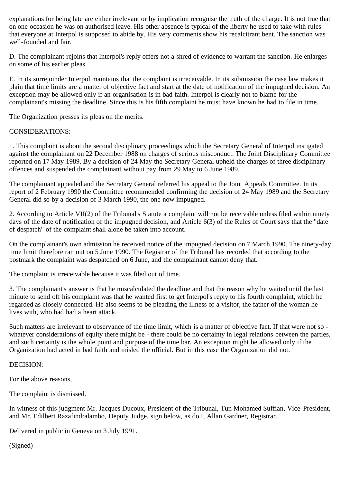explanations for being late are either irrelevant or by implication recognise the truth of the charge. It is not true that on one occasion he was on authorised leave. His other absence is typical of the liberty he used to take with rules that everyone at Interpol is supposed to abide by. His very comments show his recalcitrant bent. The sanction was well-founded and fair.

D. The complainant rejoins that Interpol's reply offers not a shred of evidence to warrant the sanction. He enlarges on some of his earlier pleas.

E. In its surrejoinder Interpol maintains that the complaint is irreceivable. In its submission the case law makes it plain that time limits are a matter of objective fact and start at the date of notification of the impugned decision. An exception may be allowed only if an organisation is in bad faith. Interpol is clearly not to blame for the complainant's missing the deadline. Since this is his fifth complaint he must have known he had to file in time.

The Organization presses its pleas on the merits.

# CONSIDERATIONS:

1. This complaint is about the second disciplinary proceedings which the Secretary General of Interpol instigated against the complainant on 22 December 1988 on charges of serious misconduct. The Joint Disciplinary Committee reported on 17 May 1989. By a decision of 24 May the Secretary General upheld the charges of three disciplinary offences and suspended the complainant without pay from 29 May to 6 June 1989.

The complainant appealed and the Secretary General referred his appeal to the Joint Appeals Committee. In its report of 2 February 1990 the Committee recommended confirming the decision of 24 May 1989 and the Secretary General did so by a decision of 3 March 1990, the one now impugned.

2. According to Article VII(2) of the Tribunal's Statute a complaint will not be receivable unless filed within ninety days of the date of notification of the impugned decision, and Article 6(3) of the Rules of Court says that the "date of despatch" of the complaint shall alone be taken into account.

On the complainant's own admission he received notice of the impugned decision on 7 March 1990. The ninety-day time limit therefore ran out on 5 June 1990. The Registrar of the Tribunal has recorded that according to the postmark the complaint was despatched on 6 June, and the complainant cannot deny that.

The complaint is irreceivable because it was filed out of time.

3. The complainant's answer is that he miscalculated the deadline and that the reason why he waited until the last minute to send off his complaint was that he wanted first to get Interpol's reply to his fourth complaint, which he regarded as closely connected. He also seems to be pleading the illness of a visitor, the father of the woman he lives with, who had had a heart attack.

Such matters are irrelevant to observance of the time limit, which is a matter of objective fact. If that were not so whatever considerations of equity there might be - there could be no certainty in legal relations between the parties, and such certainty is the whole point and purpose of the time bar. An exception might be allowed only if the Organization had acted in bad faith and misled the official. But in this case the Organization did not.

## DECISION:

For the above reasons,

The complaint is dismissed.

In witness of this judgment Mr. Jacques Ducoux, President of the Tribunal, Tun Mohamed Suffian, Vice-President, and Mr. Edilbert Razafindralambo, Deputy Judge, sign below, as do I, Allan Gardner, Registrar.

Delivered in public in Geneva on 3 July 1991.

(Signed)